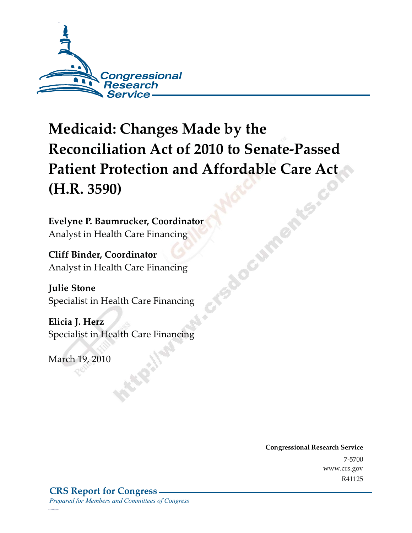

# **Medicaid: Changes Made by the Reconciliation Act of 2010 to Senate-Passed Patient Protection and Affordable Care Act (H.R. 3590)**

**FSBOCUM** 

**Evelyne P. Baumrucker, Coordinator**  Analyst in Health Care Financing

**Cliff Binder, Coordinator**  Analyst in Health Care Financing

**Julie Stone**  Specialist in Health Care Financing

**Elicia J. Herz**  Specialist in Health Care Financing

 $\log p_{\rm D2}$ 

*c11173008*

**Congressional Research Service**  $\frac{1}{200}$ ww.crs.gov  $\overline{\phantom{a}}$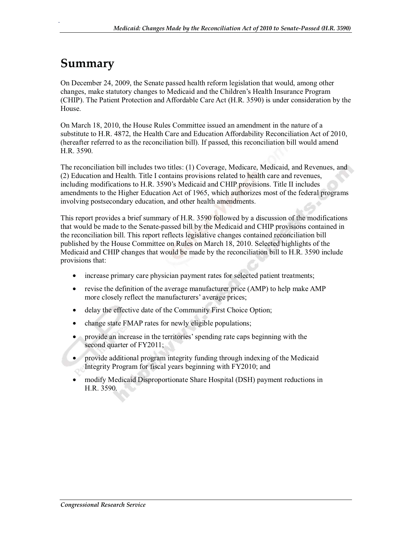### **Summary**

.

On December 24, 2009, the Senate passed health reform legislation that would, among other changes, make statutory changes to Medicaid and the Children's Health Insurance Program (CHIP). The Patient Protection and Affordable Care Act (H.R. 3590) is under consideration by the House.

On March 18, 2010, the House Rules Committee issued an amendment in the nature of a substitute to H.R. 4872, the Health Care and Education Affordability Reconciliation Act of 2010, (hereafter referred to as the reconciliation bill). If passed, this reconciliation bill would amend H.R. 3590.

The reconciliation bill includes two titles: (1) Coverage, Medicare, Medicaid, and Revenues, and (2) Education and Health. Title I contains provisions related to health care and revenues, including modifications to H.R. 3590's Medicaid and CHIP provisions. Title II includes amendments to the Higher Education Act of 1965, which authorizes most of the federal programs involving postsecondary education, and other health amendments.

This report provides a brief summary of H.R. 3590 followed by a discussion of the modifications that would be made to the Senate-passed bill by the Medicaid and CHIP provisions contained in the reconciliation bill. This report reflects legislative changes contained reconciliation bill published by the House Committee on Rules on March 18, 2010. Selected highlights of the Medicaid and CHIP changes that would be made by the reconciliation bill to H.R. 3590 include provisions that:

- increase primary care physician payment rates for selected patient treatments;
- revise the definition of the average manufacturer price (AMP) to help make AMP more closely reflect the manufacturers' average prices;
- delay the effective date of the Community First Choice Option;
- change state FMAP rates for newly eligible populations;
- provide an increase in the territories' spending rate caps beginning with the second quarter of FY2011;
- provide additional program integrity funding through indexing of the Medicaid Integrity Program for fiscal years beginning with FY2010; and
- modify Medicaid Disproportionate Share Hospital (DSH) payment reductions in H.R. 3590.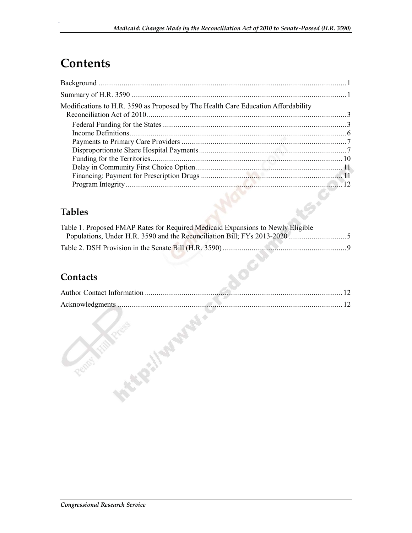## **Contents**

.

| Modifications to H.R. 3590 as Proposed by The Health Care Education Affordability |  |
|-----------------------------------------------------------------------------------|--|
|                                                                                   |  |
|                                                                                   |  |
|                                                                                   |  |
|                                                                                   |  |
|                                                                                   |  |
|                                                                                   |  |
|                                                                                   |  |
|                                                                                   |  |

#### **Tables**

| Table 1. Proposed FMAP Rates for Required Medicaid Expansions to Newly Eligible |  |
|---------------------------------------------------------------------------------|--|
|                                                                                 |  |
|                                                                                 |  |

#### **Contacts**

| 12 |
|----|
| 12 |
|    |
|    |
|    |
|    |
|    |
|    |
|    |
|    |
|    |
|    |

TOC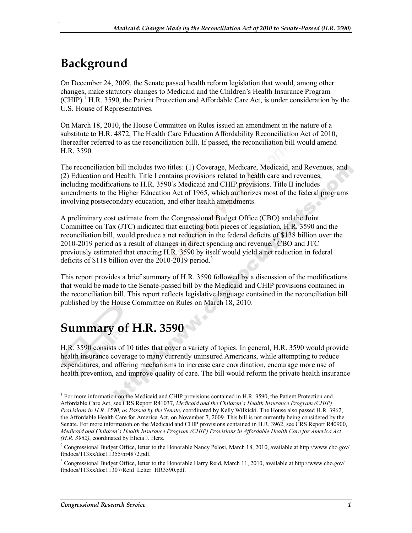## **Background**

.

On December 24, 2009, the Senate passed health reform legislation that would, among other changes, make statutory changes to Medicaid and the Children's Health Insurance Program (CHIP).<sup>1</sup> H.R. 3590, the Patient Protection and Affordable Care Act, is under consideration by the U.S. House of Representatives.

On March 18, 2010, the House Committee on Rules issued an amendment in the nature of a substitute to H.R. 4872, The Health Care Education Affordability Reconciliation Act of 2010, (hereafter referred to as the reconciliation bill). If passed, the reconciliation bill would amend H.R. 3590.

The reconciliation bill includes two titles: (1) Coverage, Medicare, Medicaid, and Revenues, and (2) Education and Health. Title I contains provisions related to health care and revenues, including modifications to H.R. 3590's Medicaid and CHIP provisions. Title II includes amendments to the Higher Education Act of 1965, which authorizes most of the federal programs involving postsecondary education, and other health amendments.

A preliminary cost estimate from the Congressional Budget Office (CBO) and the Joint Committee on Tax (JTC) indicated that enacting both pieces of legislation, H.R. 3590 and the reconciliation bill, would produce a net reduction in the federal deficits of \$138 billion over the 2010-2019 period as a result of changes in direct spending and revenue.<sup>2</sup> CBO and JTC previously estimated that enacting H.R. 3590 by itself would yield a net reduction in federal deficits of \$118 billion over the 2010-2019 period.<sup>3</sup>

This report provides a brief summary of H.R. 3590 followed by a discussion of the modifications that would be made to the Senate-passed bill by the Medicaid and CHIP provisions contained in the reconciliation bill. This report reflects legislative language contained in the reconciliation bill published by the House Committee on Rules on March 18, 2010.

### **Summary of H.R. 3590**

H.R. 3590 consists of 10 titles that cover a variety of topics. In general, H.R. 3590 would provide health insurance coverage to many currently uninsured Americans, while attempting to reduce expenditures, and offering mechanisms to increase care coordination, encourage more use of health prevention, and improve quality of care. The bill would reform the private health insurance

<sup>&</sup>lt;sup>1</sup> For more information on the Medicaid and CHIP provisions contained in H.R. 3590, the Patient Protection and Affordable Care Act, see CRS Report R41037, *Medicaid and the Children's Health Insurance Program (CHIP) Provisions in H.R. 3590, as Passed by the Senate*, coordinated by Kelly Wilkicki. The House also passed H.R. 3962, the Affordable Health Care for America Act, on November 7, 2009. This bill is not currently being considered by the Senate. For more information on the Medicaid and CHIP provisions contained in H.R. 3962, see CRS Report R40900, *Medicaid and Children's Health Insurance Program (CHIP) Provisions in Affordable Health Care for America Act (H.R. 3962)*, coordinated by Elicia J. Herz.

<sup>&</sup>lt;sup>2</sup> Congressional Budget Office, letter to the Honorable Nancy Pelosi, March 18, 2010, available at http://www.cbo.gov/ ftpdocs/113xx/doc11355/hr4872.pdf.

<sup>&</sup>lt;sup>3</sup> Congressional Budget Office, letter to the Honorable Harry Reid, March 11, 2010, available at http://www.cbo.gov/ ftpdocs/113xx/doc11307/Reid\_Letter\_HR3590.pdf.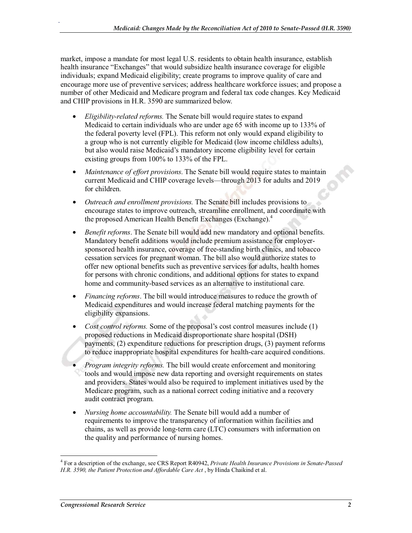market, impose a mandate for most legal U.S. residents to obtain health insurance, establish health insurance "Exchanges" that would subsidize health insurance coverage for eligible individuals; expand Medicaid eligibility; create programs to improve quality of care and encourage more use of preventive services; address healthcare workforce issues; and propose a number of other Medicaid and Medicare program and federal tax code changes. Key Medicaid and CHIP provisions in H.R. 3590 are summarized below.

- *Eligibility-related reforms.* The Senate bill would require states to expand Medicaid to certain individuals who are under age 65 with income up to 133% of the federal poverty level (FPL). This reform not only would expand eligibility to a group who is not currently eligible for Medicaid (low income childless adults), but also would raise Medicaid's mandatory income eligibility level for certain existing groups from 100% to 133% of the FPL.
- *Maintenance of effort provisions*. The Senate bill would require states to maintain current Medicaid and CHIP coverage levels—through 2013 for adults and 2019 for children.
- *Outreach and enrollment provisions.* The Senate bill includes provisions to encourage states to improve outreach, streamline enrollment, and coordinate with the proposed American Health Benefit Exchanges (Exchange).<sup>4</sup>
- *Benefit reforms*. The Senate bill would add new mandatory and optional benefits. Mandatory benefit additions would include premium assistance for employersponsored health insurance, coverage of free-standing birth clinics, and tobacco cessation services for pregnant woman. The bill also would authorize states to offer new optional benefits such as preventive services for adults, health homes for persons with chronic conditions, and additional options for states to expand home and community-based services as an alternative to institutional care.
- *Financing reforms*. The bill would introduce measures to reduce the growth of Medicaid expenditures and would increase federal matching payments for the eligibility expansions.
- *Cost control reforms.* Some of the proposal's cost control measures include (1) proposed reductions in Medicaid disproportionate share hospital (DSH) payments, (2) expenditure reductions for prescription drugs, (3) payment reforms to reduce inappropriate hospital expenditures for health-care acquired conditions.
- *Program integrity reforms.* The bill would create enforcement and monitoring tools and would impose new data reporting and oversight requirements on states and providers. States would also be required to implement initiatives used by the Medicare program, such as a national correct coding initiative and a recovery audit contract program.
- *Nursing home accountability.* The Senate bill would add a number of requirements to improve the transparency of information within facilities and chains, as well as provide long-term care (LTC) consumers with information on the quality and performance of nursing homes.

<sup>4</sup> For a description of the exchange, see CRS Report R40942, *Private Health Insurance Provisions in Senate-Passed H.R. 3590, the Patient Protection and Affordable Care Act* , by Hinda Chaikind et al.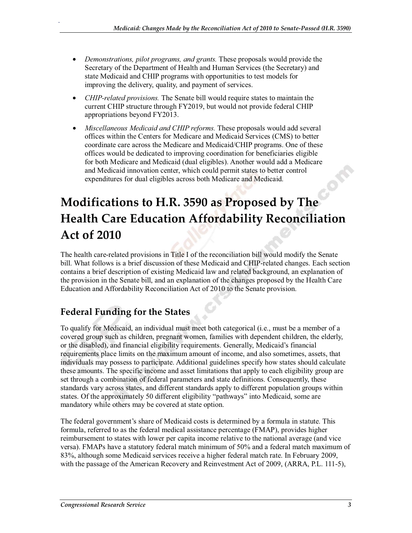- *Demonstrations, pilot programs, and grants.* These proposals would provide the Secretary of the Department of Health and Human Services (the Secretary) and state Medicaid and CHIP programs with opportunities to test models for improving the delivery, quality, and payment of services.
- *CHIP-related provisions.* The Senate bill would require states to maintain the current CHIP structure through FY2019, but would not provide federal CHIP appropriations beyond FY2013.
- *Miscellaneous Medicaid and CHIP reforms.* These proposals would add several offices within the Centers for Medicare and Medicaid Services (CMS) to better coordinate care across the Medicare and Medicaid/CHIP programs. One of these offices would be dedicated to improving coordination for beneficiaries eligible for both Medicare and Medicaid (dual eligibles). Another would add a Medicare and Medicaid innovation center, which could permit states to better control expenditures for dual eligibles across both Medicare and Medicaid.

## **Modifications to H.R. 3590 as Proposed by The Health Care Education Affordability Reconciliation Act of 2010**

The health care-related provisions in Title I of the reconciliation bill would modify the Senate bill. What follows is a brief discussion of these Medicaid and CHIP-related changes. Each section contains a brief description of existing Medicaid law and related background, an explanation of the provision in the Senate bill, and an explanation of the changes proposed by the Health Care Education and Affordability Reconciliation Act of 2010 to the Senate provision.

### **Federal Funding for the States**

.

To qualify for Medicaid, an individual must meet both categorical (i.e., must be a member of a covered group such as children, pregnant women, families with dependent children, the elderly, or the disabled), and financial eligibility requirements. Generally, Medicaid's financial requirements place limits on the maximum amount of income, and also sometimes, assets, that individuals may possess to participate. Additional guidelines specify how states should calculate these amounts. The specific income and asset limitations that apply to each eligibility group are set through a combination of federal parameters and state definitions. Consequently, these standards vary across states, and different standards apply to different population groups within states. Of the approximately 50 different eligibility "pathways" into Medicaid, some are mandatory while others may be covered at state option.

The federal government's share of Medicaid costs is determined by a formula in statute. This formula, referred to as the federal medical assistance percentage (FMAP), provides higher reimbursement to states with lower per capita income relative to the national average (and vice versa). FMAPs have a statutory federal match minimum of 50% and a federal match maximum of 83%, although some Medicaid services receive a higher federal match rate. In February 2009, with the passage of the American Recovery and Reinvestment Act of 2009, (ARRA, P.L. 111-5),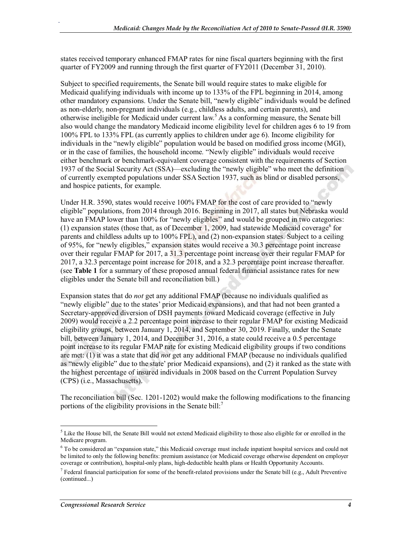states received temporary enhanced FMAP rates for nine fiscal quarters beginning with the first quarter of FY2009 and running through the first quarter of FY2011 (December 31, 2010).

Subject to specified requirements, the Senate bill would require states to make eligible for Medicaid qualifying individuals with income up to 133% of the FPL beginning in 2014, among other mandatory expansions. Under the Senate bill, "newly eligible" individuals would be defined as non-elderly, non-pregnant individuals (e.g., childless adults, and certain parents), and otherwise ineligible for Medicaid under current law.<sup>5</sup> As a conforming measure, the Senate bill also would change the mandatory Medicaid income eligibility level for children ages 6 to 19 from 100% FPL to 133% FPL (as currently applies to children under age 6). Income eligibility for individuals in the "newly eligible" population would be based on modified gross income (MGI), or in the case of families, the household income. "Newly eligible" individuals would receive either benchmark or benchmark-equivalent coverage consistent with the requirements of Section 1937 of the Social Security Act (SSA)—excluding the "newly eligible" who meet the definition of currently exempted populations under SSA Section 1937, such as blind or disabled persons, and hospice patients, for example.

Under H.R. 3590, states would receive 100% FMAP for the cost of care provided to "newly eligible" populations, from 2014 through 2016. Beginning in 2017, all states but Nebraska would have an FMAP lower than 100% for "newly eligibles" and would be grouped in two categories: (1) expansion states (those that, as of December 1, 2009, had statewide Medicaid coverage<sup>6</sup> for parents and childless adults up to 100% FPL), and (2) non-expansion states. Subject to a ceiling of 95%, for "newly eligibles," expansion states would receive a 30.3 percentage point increase over their regular FMAP for 2017, a 31.3 percentage point increase over their regular FMAP for 2017, a 32.3 percentage point increase for 2018, and a 32.3 percentage point increase thereafter. (see **Table 1** for a summary of these proposed annual federal financial assistance rates for new eligibles under the Senate bill and reconciliation bill.)

Expansion states that do *not* get any additional FMAP (because no individuals qualified as "newly eligible" due to the states' prior Medicaid expansions), and that had not been granted a Secretary-approved diversion of DSH payments toward Medicaid coverage (effective in July 2009) would receive a 2.2 percentage point increase to their regular FMAP for existing Medicaid eligibility groups, between January 1, 2014, and September 30, 2019. Finally, under the Senate bill, between January 1, 2014, and December 31, 2016, a state could receive a 0.5 percentage point increase to its regular FMAP rate for existing Medicaid eligibility groups if two conditions are met: (1) it was a state that did *not* get any additional FMAP (because no individuals qualified as "newly eligible" due to the state' prior Medicaid expansions), and (2) it ranked as the state with the highest percentage of insured individuals in 2008 based on the Current Population Survey (CPS) (i.e., Massachusetts).

The reconciliation bill (Sec. 1201-1202) would make the following modifications to the financing portions of the eligibility provisions in the Senate bill:<sup>7</sup>

 $<sup>5</sup>$  Like the House bill, the Senate Bill would not extend Medicaid eligibility to those also eligible for or enrolled in the</sup> Medicare program.

<sup>&</sup>lt;sup>6</sup> To be considered an "expansion state," this Medicaid coverage must include inpatient hospital services and could not be limited to only the following benefits: premium assistance (or Medicaid coverage otherwise dependent on employer coverage or contribution), hospital-only plans, high-deductible health plans or Health Opportunity Accounts.

<sup>&</sup>lt;sup>7</sup> Federal financial participation for some of the benefit-related provisions under the Senate bill (e.g., Adult Preventive (continued...)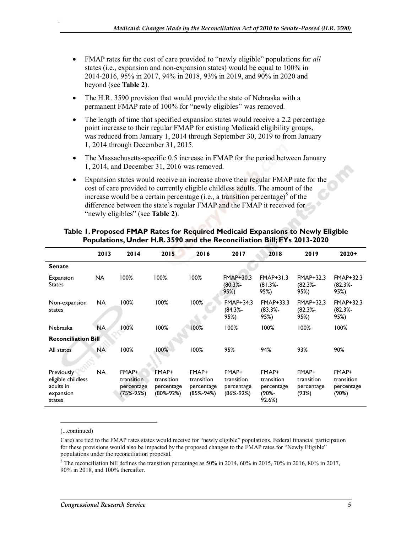- FMAP rates for the cost of care provided to "newly eligible" populations for *all* states (i.e., expansion and non-expansion states) would be equal to 100% in 2014-2016, 95% in 2017, 94% in 2018, 93% in 2019, and 90% in 2020 and beyond (see **Table 2**).
- The H.R. 3590 provision that would provide the state of Nebraska with a permanent FMAP rate of 100% for "newly eligibles'' was removed.
- The length of time that specified expansion states would receive a 2.2 percentage point increase to their regular FMAP for existing Medicaid eligibility groups, was reduced from January 1, 2014 through September 30, 2019 to from January 1, 2014 through December 31, 2015.
- The Massachusetts-specific 0.5 increase in FMAP for the period between January 1, 2014, and December 31, 2016 was removed.
- Expansion states would receive an increase above their regular FMAP rate for the cost of care provided to currently eligible childless adults. The amount of the increase would be a certain percentage (i.e., a transition percentage) $^8$  of the difference between the state's regular FMAP and the FMAP it received for "newly eligibles" (see **Table 2**).

|                                                                      | 2013      | 2014                                           | 2015                                           | 2016                                           | 2017                                                 | 2018                                                 | 2019                                       | $2020+$                                    |
|----------------------------------------------------------------------|-----------|------------------------------------------------|------------------------------------------------|------------------------------------------------|------------------------------------------------------|------------------------------------------------------|--------------------------------------------|--------------------------------------------|
| <b>Senate</b>                                                        |           |                                                |                                                |                                                |                                                      |                                                      |                                            |                                            |
| Expansion<br><b>States</b>                                           | <b>NA</b> | 100%                                           | 100%                                           | 100%                                           | $FMAP+30.3$<br>$(80.3% -$<br>95%)                    | $FMAP+31.3$<br>$(81.3% -$<br>95%)                    | $FMAP+32.3$<br>$(82.3% -$<br>95%)          | FMAP+32.3<br>(82.3%-<br>95%)               |
| Non-expansion<br>states                                              | <b>NA</b> | 100%                                           | 100%                                           | 100%                                           | FMAP+34.3<br>$(84.3% -$<br>95%)                      | FMAP+33.3<br>$(83.3% -$<br>95%)                      | $FMAP+32.3$<br>$(82.3% -$<br>95%)          | FMAP+32.3<br>$(82.3% -$<br>95%)            |
| Nebraska                                                             | <b>NA</b> | 100%                                           | 100%                                           | 100%                                           | 100%                                                 | 100%                                                 | 100%                                       | 100%                                       |
| <b>Reconciliation Bill</b>                                           |           |                                                |                                                |                                                |                                                      |                                                      |                                            |                                            |
| All states                                                           | <b>NA</b> | 100%                                           | 100%                                           | 100%                                           | 95%                                                  | 94%                                                  | 93%                                        | 90%                                        |
| Previously<br>eligible childless<br>adults in<br>expansion<br>states | <b>NA</b> | FMAP+<br>transition<br>percentage<br>(75%-95%) | FMAP+<br>transition<br>percentage<br>(80%-92%) | FMAP+<br>transition<br>percentage<br>(85%-94%) | FMAP+<br>transition<br>percentage<br>$(86\% - 92\%)$ | FMAP+<br>transition<br>percentage<br>(90%-<br>92.6%) | FMAP+<br>transition<br>percentage<br>(93%) | FMAP+<br>transition<br>percentage<br>(90%) |

#### **Table 1. Proposed FMAP Rates for Required Medicaid Expansions to Newly Eligible Populations, Under H.R. 3590 and the Reconciliation Bill; FYs 2013-2020**

(...continued)

.

<sup>8</sup> The reconciliation bill defines the transition percentage as 50% in 2014, 60% in 2015, 70% in 2016, 80% in 2017, 90% in 2018, and 100% thereafter.

Care) are tied to the FMAP rates states would receive for "newly eligible" populations. Federal financial participation for these provisions would also be impacted by the proposed changes to the FMAP rates for "Newly Eligible" populations under the reconciliation proposal.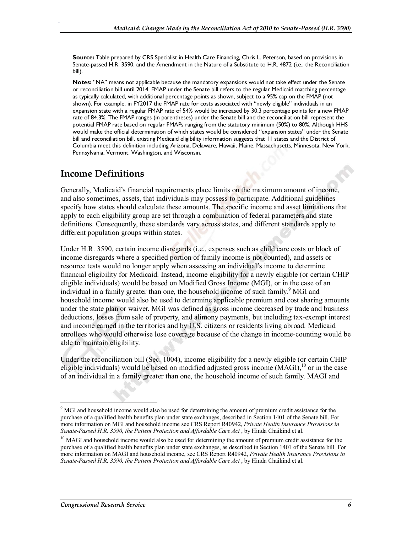**Source:** Table prepared by CRS Specialist in Health Care Financing, Chris L. Peterson, based on provisions in Senate-passed H.R. 3590, and the Amendment in the Nature of a Substitute to H.R. 4872 (i.e., the Reconciliation bill).

**Notes:** "NA" means not applicable because the mandatory expansions would not take effect under the Senate or reconciliation bill until 2014. FMAP under the Senate bill refers to the regular Medicaid matching percentage as typically calculated, with additional percentage points as shown, subject to a 95% cap on the FMAP (not shown). For example, in FY2017 the FMAP rate for costs associated with "newly eligible" individuals in an expansion state with a regular FMAP rate of 54% would be increased by 30.3 percentage points for a new FMAP rate of 84.3%. The FMAP ranges (in parentheses) under the Senate bill and the reconciliation bill represent the potential FMAP rate based on regular FMAPs ranging from the statutory minimum (50%) to 80%. Although HHS would make the official determination of which states would be considered "expansion states" under the Senate bill and reconciliation bill, existing Medicaid eligibility information suggests that 11 states and the District of Columbia meet this definition including Arizona, Delaware, Hawaii, Maine, Massachusetts, Minnesota, New York, Pennsylvania, Vermont, Washington, and Wisconsin.

#### **Income Definitions**

.

Generally, Medicaid's financial requirements place limits on the maximum amount of income, and also sometimes, assets, that individuals may possess to participate. Additional guidelines specify how states should calculate these amounts. The specific income and asset limitations that apply to each eligibility group are set through a combination of federal parameters and state definitions. Consequently, these standards vary across states, and different standards apply to different population groups within states.

Under H.R. 3590, certain income disregards (i.e., expenses such as child care costs or block of income disregards where a specified portion of family income is not counted), and assets or resource tests would no longer apply when assessing an individual's income to determine financial eligibility for Medicaid. Instead, income eligibility for a newly eligible (or certain CHIP eligible individuals) would be based on Modified Gross Income (MGI), or in the case of an individual in a family greater than one, the household income of such family.<sup>9</sup> MGI and household income would also be used to determine applicable premium and cost sharing amounts under the state plan or waiver. MGI was defined as gross income decreased by trade and business deductions, losses from sale of property, and alimony payments, but including tax-exempt interest and income earned in the territories and by U.S. citizens or residents living abroad. Medicaid enrollees who would otherwise lose coverage because of the change in income-counting would be able to maintain eligibility.

Under the reconciliation bill (Sec. 1004), income eligibility for a newly eligible (or certain CHIP eligible individuals) would be based on modified adjusted gross income  $(MAGI)$ ,<sup>10</sup> or in the case of an individual in a family greater than one, the household income of such family. MAGI and

<sup>&</sup>lt;sup>9</sup> MGI and household income would also be used for determining the amount of premium credit assistance for the purchase of a qualified health benefits plan under state exchanges, described in Section 1401 of the Senate bill. For more information on MGI and household income see CRS Report R40942, *Private Health Insurance Provisions in Senate-Passed H.R. 3590, the Patient Protection and Affordable Care Act* , by Hinda Chaikind et al.

<sup>&</sup>lt;sup>10</sup> MAGI and household income would also be used for determining the amount of premium credit assistance for the purchase of a qualified health benefits plan under state exchanges, as described in Section 1401 of the Senate bill. For more information on MAGI and household income, see CRS Report R40942, *Private Health Insurance Provisions in*  Senate-Passed H.R. 3590, the Patient Protection and Affordable Care Act, by Hinda Chaikind et al.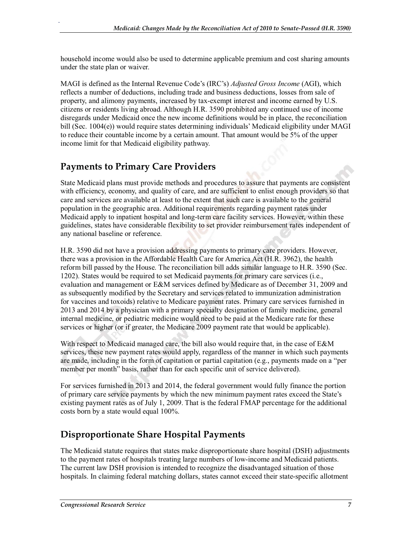household income would also be used to determine applicable premium and cost sharing amounts under the state plan or waiver.

MAGI is defined as the Internal Revenue Code's (IRC's) *Adjusted Gross Income* (AGI), which reflects a number of deductions, including trade and business deductions, losses from sale of property, and alimony payments, increased by tax-exempt interest and income earned by U.S. citizens or residents living abroad. Although H.R. 3590 prohibited any continued use of income disregards under Medicaid once the new income definitions would be in place, the reconciliation bill (Sec. 1004(e)) would require states determining individuals' Medicaid eligibility under MAGI to reduce their countable income by a certain amount. That amount would be 5% of the upper income limit for that Medicaid eligibility pathway.

#### **Payments to Primary Care Providers**

.

State Medicaid plans must provide methods and procedures to assure that payments are consistent with efficiency, economy, and quality of care, and are sufficient to enlist enough providers so that care and services are available at least to the extent that such care is available to the general population in the geographic area. Additional requirements regarding payment rates under Medicaid apply to inpatient hospital and long-term care facility services. However, within these guidelines, states have considerable flexibility to set provider reimbursement rates independent of any national baseline or reference.

H.R. 3590 did not have a provision addressing payments to primary care providers. However, there was a provision in the Affordable Health Care for America Act (H.R. 3962), the health reform bill passed by the House. The reconciliation bill adds similar language to H.R. 3590 (Sec. 1202). States would be required to set Medicaid payments for primary care services (i.e., evaluation and management or E&M services defined by Medicare as of December 31, 2009 and as subsequently modified by the Secretary and services related to immunization administration for vaccines and toxoids) relative to Medicare payment rates. Primary care services furnished in 2013 and 2014 by a physician with a primary specialty designation of family medicine, general internal medicine, or pediatric medicine would need to be paid at the Medicare rate for these services or higher (or if greater, the Medicare 2009 payment rate that would be applicable).

With respect to Medicaid managed care, the bill also would require that, in the case of E&M services, these new payment rates would apply, regardless of the manner in which such payments are made, including in the form of capitation or partial capitation (e.g., payments made on a "per member per month" basis, rather than for each specific unit of service delivered).

For services furnished in 2013 and 2014, the federal government would fully finance the portion of primary care service payments by which the new minimum payment rates exceed the State's existing payment rates as of July 1, 2009. That is the federal FMAP percentage for the additional costs born by a state would equal 100%.

### **Disproportionate Share Hospital Payments**

The Medicaid statute requires that states make disproportionate share hospital (DSH) adjustments to the payment rates of hospitals treating large numbers of low-income and Medicaid patients. The current law DSH provision is intended to recognize the disadvantaged situation of those hospitals. In claiming federal matching dollars, states cannot exceed their state-specific allotment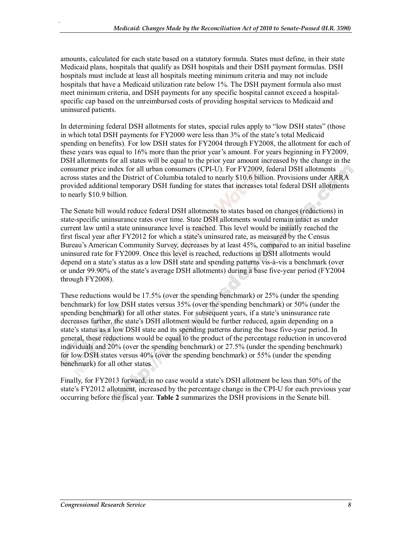amounts, calculated for each state based on a statutory formula. States must define, in their state Medicaid plans, hospitals that qualify as DSH hospitals and their DSH payment formulas. DSH hospitals must include at least all hospitals meeting minimum criteria and may not include hospitals that have a Medicaid utilization rate below 1%. The DSH payment formula also must meet minimum criteria, and DSH payments for any specific hospital cannot exceed a hospitalspecific cap based on the unreimbursed costs of providing hospital services to Medicaid and uninsured patients.

In determining federal DSH allotments for states, special rules apply to "low DSH states" (those in which total DSH payments for FY2000 were less than 3% of the state's total Medicaid spending on benefits). For low DSH states for FY2004 through FY2008, the allotment for each of these years was equal to 16% more than the prior year's amount. For years beginning in FY2009, DSH allotments for all states will be equal to the prior year amount increased by the change in the consumer price index for all urban consumers (CPI-U). For FY2009, federal DSH allotments across states and the District of Columbia totaled to nearly \$10.6 billion. Provisions under ARRA provided additional temporary DSH funding for states that increases total federal DSH allotments to nearly \$10.9 billion.

The Senate bill would reduce federal DSH allotments to states based on changes (reductions) in state-specific uninsurance rates over time. State DSH allotments would remain intact as under current law until a state uninsurance level is reached. This level would be initially reached the first fiscal year after FY2012 for which a state's uninsured rate, as measured by the Census Bureau's American Community Survey, decreases by at least 45%, compared to an initial baseline uninsured rate for FY2009. Once this level is reached, reductions in DSH allotments would depend on a state's status as a low DSH state and spending patterns vis-à-vis a benchmark (over or under 99.90% of the state's average DSH allotments) during a base five-year period (FY2004 through FY2008).

These reductions would be 17.5% (over the spending benchmark) or 25% (under the spending benchmark) for low DSH states versus 35% (over the spending benchmark) or 50% (under the spending benchmark) for all other states. For subsequent years, if a state's uninsurance rate decreases further, the state's DSH allotment would be further reduced, again depending on a state's status as a low DSH state and its spending patterns during the base five-year period. In general, these reductions would be equal to the product of the percentage reduction in uncovered individuals and 20% (over the spending benchmark) or 27.5% (under the spending benchmark) for low DSH states versus 40% (over the spending benchmark) or 55% (under the spending benchmark) for all other states.

Finally, for FY2013 forward, in no case would a state's DSH allotment be less than 50% of the state's FY2012 allotment, increased by the percentage change in the CPI-U for each previous year occurring before the fiscal year. **Table 2** summarizes the DSH provisions in the Senate bill.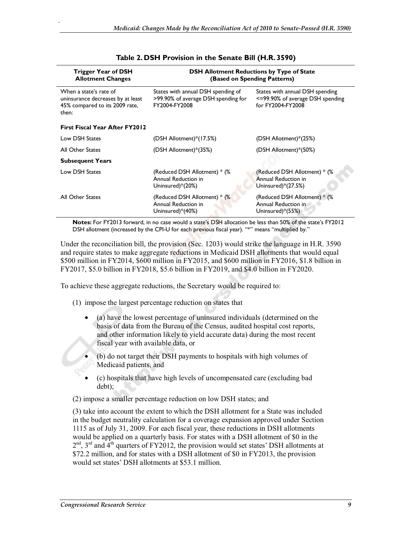| Trigger Year of DSH<br><b>Allotment Changes</b>                                                        | <b>DSH Allotment Reductions by Type of State</b><br>(Based on Spending Patterns)           |                                                                                          |  |  |  |
|--------------------------------------------------------------------------------------------------------|--------------------------------------------------------------------------------------------|------------------------------------------------------------------------------------------|--|--|--|
| When a state's rate of<br>uninsurance decreases by at least<br>45% compared to its 2009 rate,<br>then: | States with annual DSH spending of<br>>99.90% of average DSH spending for<br>FY2004-FY2008 | States with annual DSH spending<br><=99.90% of average DSH spending<br>for FY2004-FY2008 |  |  |  |
| <b>First Fiscal Year After FY2012</b>                                                                  |                                                                                            |                                                                                          |  |  |  |
| Low DSH States                                                                                         | (DSH Allotment)*(17.5%)                                                                    | (DSH Allotment)*(25%)                                                                    |  |  |  |
| <b>All Other States</b>                                                                                | (DSH Allotment)*(35%)                                                                      | (DSH Allotment)*(50%)                                                                    |  |  |  |
| <b>Subsequent Years</b>                                                                                |                                                                                            |                                                                                          |  |  |  |
| Low DSH States                                                                                         | (Reduced DSH Allotment) * (%<br>Annual Reduction in<br>Uninsured)*(20%)                    | (Reduced DSH Allotment) * (%<br>Annual Reduction in<br>Uninsured)*(27.5%)                |  |  |  |
| All Other States                                                                                       | (Reduced DSH Allotment) * (%<br>Annual Reduction in<br>Uninsured)*(40%)                    | (Reduced DSH Allotment) * (%<br>Annual Reduction in<br>Uninsured)*(55%)                  |  |  |  |

#### **Table 2. DSH Provision in the Senate Bill (H.R. 3590)**

**Notes:** For FY2013 forward, in no case would a state's DSH allocation be less than 50% of the state's FY2012 DSH allotment (increased by the CPI-U for each previous fiscal year). "\*" means "multiplied by."

Under the reconciliation bill, the provision (Sec. 1203) would strike the language in H.R. 3590 and require states to make aggregate reductions in Medicaid DSH allotments that would equal \$500 million in FY2014, \$600 million in FY2015, and \$600 million in FY2016, \$1.8 billion in FY2017, \$5.0 billion in FY2018, \$5.6 billion in FY2019, and \$4.0 billion in FY2020.

To achieve these aggregate reductions, the Secretary would be required to:

- (1) impose the largest percentage reduction on states that
	- (a) have the lowest percentage of uninsured individuals (determined on the basis of data from the Bureau of the Census, audited hospital cost reports, and other information likely to yield accurate data) during the most recent fiscal year with available data, or
	- (b) do not target their DSH payments to hospitals with high volumes of Medicaid patients, and
	- (c) hospitals that have high levels of uncompensated care (excluding bad debt);

(2) impose a smaller percentage reduction on low DSH states; and

(3) take into account the extent to which the DSH allotment for a State was included in the budget neutrality calculation for a coverage expansion approved under Section 1115 as of July 31, 2009. For each fiscal year, these reductions in DSH allotments would be applied on a quarterly basis. For states with a DSH allotment of \$0 in the  $2<sup>nd</sup>$ ,  $3<sup>rd</sup>$  and  $4<sup>th</sup>$  quarters of FY2012, the provision would set states' DSH allotments at \$72.2 million, and for states with a DSH allotment of \$0 in FY2013, the provision would set states' DSH allotments at \$53.1 million.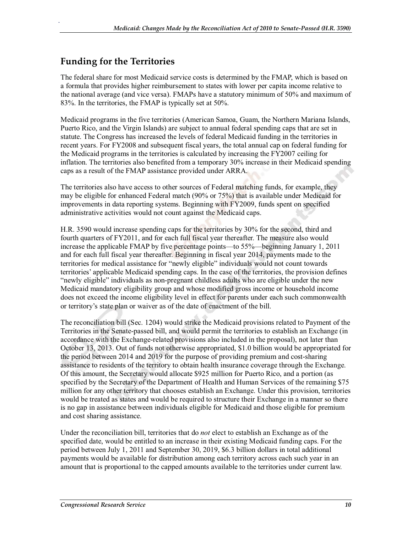#### **Funding for the Territories**

.

The federal share for most Medicaid service costs is determined by the FMAP, which is based on a formula that provides higher reimbursement to states with lower per capita income relative to the national average (and vice versa). FMAPs have a statutory minimum of 50% and maximum of 83%. In the territories, the FMAP is typically set at 50%.

Medicaid programs in the five territories (American Samoa, Guam, the Northern Mariana Islands, Puerto Rico, and the Virgin Islands) are subject to annual federal spending caps that are set in statute. The Congress has increased the levels of federal Medicaid funding in the territories in recent years. For FY2008 and subsequent fiscal years, the total annual cap on federal funding for the Medicaid programs in the territories is calculated by increasing the FY2007 ceiling for inflation. The territories also benefited from a temporary 30% increase in their Medicaid spending caps as a result of the FMAP assistance provided under ARRA.

The territories also have access to other sources of Federal matching funds, for example, they may be eligible for enhanced Federal match (90% or 75%) that is available under Medicaid for improvements in data reporting systems. Beginning with FY2009, funds spent on specified administrative activities would not count against the Medicaid caps.

H.R. 3590 would increase spending caps for the territories by 30% for the second, third and fourth quarters of FY2011, and for each full fiscal year thereafter. The measure also would increase the applicable FMAP by five percentage points—to 55%—beginning January 1, 2011 and for each full fiscal year thereafter. Beginning in fiscal year 2014, payments made to the territories for medical assistance for "newly eligible" individuals would not count towards territories' applicable Medicaid spending caps. In the case of the territories, the provision defines "newly eligible" individuals as non-pregnant childless adults who are eligible under the new Medicaid mandatory eligibility group and whose modified gross income or household income does not exceed the income eligibility level in effect for parents under each such commonwealth or territory's state plan or waiver as of the date of enactment of the bill.

The reconciliation bill (Sec. 1204) would strike the Medicaid provisions related to Payment of the Territories in the Senate-passed bill, and would permit the territories to establish an Exchange (in accordance with the Exchange-related provisions also included in the proposal), not later than October 13, 2013. Out of funds not otherwise appropriated, \$1.0 billion would be appropriated for the period between 2014 and 2019 for the purpose of providing premium and cost-sharing assistance to residents of the territory to obtain health insurance coverage through the Exchange. Of this amount, the Secretary would allocate \$925 million for Puerto Rico, and a portion (as specified by the Secretary of the Department of Health and Human Services of the remaining \$75 million for any other territory that chooses establish an Exchange. Under this provision, territories would be treated as states and would be required to structure their Exchange in a manner so there is no gap in assistance between individuals eligible for Medicaid and those eligible for premium and cost sharing assistance.

Under the reconciliation bill, territories that do *not* elect to establish an Exchange as of the specified date, would be entitled to an increase in their existing Medicaid funding caps. For the period between July 1, 2011 and September 30, 2019, \$6.3 billion dollars in total additional payments would be available for distribution among each territory across each such year in an amount that is proportional to the capped amounts available to the territories under current law.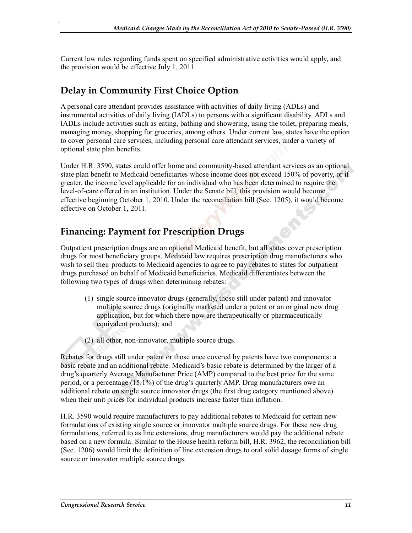Current law rules regarding funds spent on specified administrative activities would apply, and the provision would be effective July 1, 2011.

### **Delay in Community First Choice Option**

.

A personal care attendant provides assistance with activities of daily living (ADLs) and instrumental activities of daily living (IADLs) to persons with a significant disability. ADLs and IADLs include activities such as eating, bathing and showering, using the toilet, preparing meals, managing money, shopping for groceries, among others. Under current law, states have the option to cover personal care services, including personal care attendant services, under a variety of optional state plan benefits.

Under H.R. 3590, states could offer home and community-based attendant services as an optional state plan benefit to Medicaid beneficiaries whose income does not exceed 150% of poverty, or if greater, the income level applicable for an individual who has been determined to require the level-of-care offered in an institution. Under the Senate bill, this provision would become effective beginning October 1, 2010. Under the reconciliation bill (Sec. 1205), it would become effective on October 1, 2011.

#### **Financing: Payment for Prescription Drugs**

Outpatient prescription drugs are an optional Medicaid benefit, but all states cover prescription drugs for most beneficiary groups. Medicaid law requires prescription drug manufacturers who wish to sell their products to Medicaid agencies to agree to pay rebates to states for outpatient drugs purchased on behalf of Medicaid beneficiaries. Medicaid differentiates between the following two types of drugs when determining rebates:

- (1) single source innovator drugs (generally, those still under patent) and innovator multiple source drugs (originally marketed under a patent or an original new drug application, but for which there now are therapeutically or pharmaceutically equivalent products); and
- (2) all other, non-innovator, multiple source drugs.

Rebates for drugs still under patent or those once covered by patents have two components: a basic rebate and an additional rebate. Medicaid's basic rebate is determined by the larger of a drug's quarterly Average Manufacturer Price (AMP) compared to the best price for the same period, or a percentage (15.1%) of the drug's quarterly AMP. Drug manufacturers owe an additional rebate on single source innovator drugs (the first drug category mentioned above) when their unit prices for individual products increase faster than inflation.

H.R. 3590 would require manufacturers to pay additional rebates to Medicaid for certain new formulations of existing single source or innovator multiple source drugs. For these new drug formulations, referred to as line extensions, drug manufacturers would pay the additional rebate based on a new formula. Similar to the House health reform bill, H.R. 3962, the reconciliation bill (Sec. 1206) would limit the definition of line extension drugs to oral solid dosage forms of single source or innovator multiple source drugs.